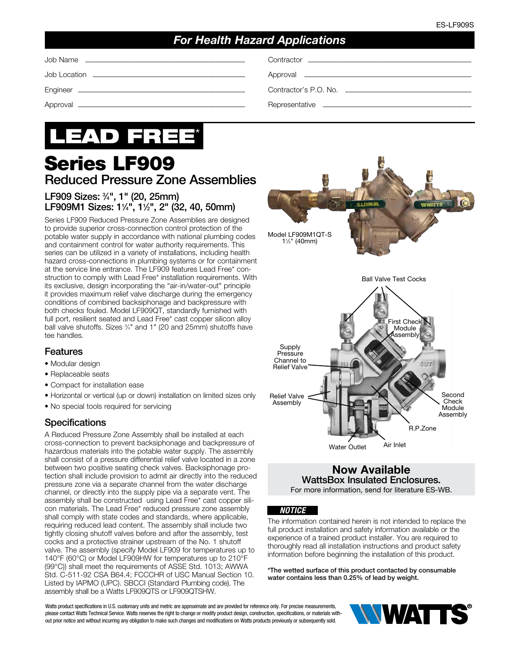# *For Health Hazard Applications*

Job Location ––––––––––––––––––––––––––––––––––––––––– Approval –––––––––––––––––––––––––––––––––––––––––––––

Engineer ––––––––––––––––––––––––––––––––––––––––––––– Contractor's P.O. No. ––––––––––––––––––––––––––––––––––

Approval ––––––––––––––––––––––––––––––––––––––––––––– Representative ––––––––––––––––––––––––––––––––––––––––

# LEAD FREE\*

# Series LF909 Reduced Pressure Zone Assemblies

## LF909 Sizes: 3 ⁄4", 1" (20, 25mm) LF909M1 Sizes: 1¼", 1½", 2" (32, 40, 50mm)

Series LF909 Reduced Pressure Zone Assemblies are designed to provide superior cross-connection control protection of the potable water supply in accordance with national plumbing codes and containment control for water authority requirements. This series can be utilized in a variety of installations, including health hazard cross-connections in plumbing systems or for containment at the service line entrance. The LF909 features Lead Free\* construction to comply with Lead Free\* installation requirements. With its exclusive, design incorporating the "air-in/water-out" principle it provides maximum relief valve discharge during the emergency conditions of combined backsiphonage and backpressure with both checks fouled. Model LF909QT, standardly furnished with full port, resilient seated and Lead Free\* cast copper silicon alloy ball valve shutoffs. Sizes 3/4" and 1" (20 and 25mm) shutoffs have tee handles.

#### Features

- Modular design
- Replaceable seats
- Compact for installation ease
- Horizontal or vertical (up or down) installation on limited sizes only
- No special tools required for servicing

#### **Specifications**

A Reduced Pressure Zone Assembly shall be installed at each cross-connection to prevent backsiphonage and backpressure of hazardous materials into the potable water supply. The assembly shall consist of a pressure differential relief valve located in a zone between two positive seating check valves. Backsiphonage protection shall include provision to admit air directly into the reduced pressure zone via a separate channel from the water discharge channel, or directly into the supply pipe via a separate vent. The assembly shall be constructed using Lead Free\* cast copper silicon materials. The Lead Free\* reduced pressure zone assembly shall comply with state codes and standards, where applicable, requiring reduced lead content. The assembly shall include two tightly closing shutoff valves before and after the assembly, test cocks and a protective strainer upstream of the No. 1 shutoff valve. The assembly (specify Model LF909 for temperatures up to 140°F (60°C) or Model LF909HW for temperatures up to 210°F (99°C)) shall meet the requirements of ASSE Std. 1013; AWWA Std. C-511-92 CSA B64.4; FCCCHR of USC Manual Section 10. Listed by IAPMO (UPC). SBCCI (Standard Plumbing code). The assembly shall be a Watts LF909QTS or LF909QTSHW.



#### Now Available WattsBox Insulated Enclosures. For more information, send for literature ES-WB.

#### *NOTICE*

The information contained herein is not intended to replace the full product installation and safety information available or the experience of a trained product installer. You are required to thoroughly read all installation instructions and product safety information before beginning the installation of this product.

\*The wetted surface of this product contacted by consumable water contains less than 0.25% of lead by weight.

Watts product specifications in U.S. customary units and metric are approximate and are provided for reference only. For precise measurements, please contact Watts Technical Service. Watts reserves the right to change or modify product design, construction, specifications, or materials without prior notice and without incurring any obligation to make such changes and modifications on Watts products previously or subsequently sold.

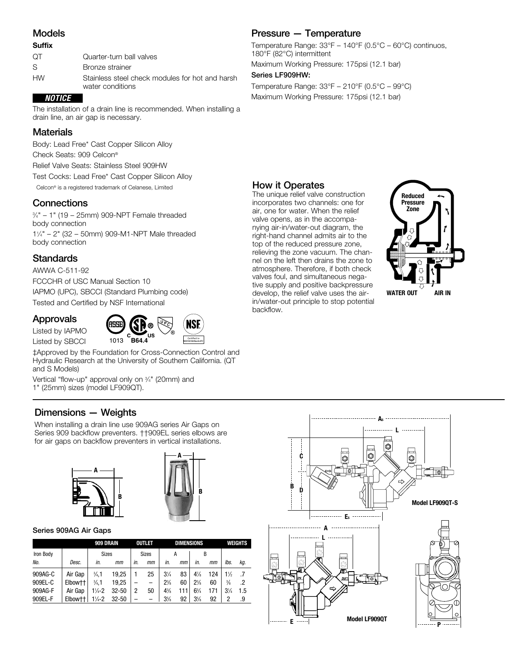#### Models

#### **Suffix**

| OТ        | Quarter-turn ball valves                                            |
|-----------|---------------------------------------------------------------------|
| S         | Bronze strainer                                                     |
| <b>HW</b> | Stainless steel check modules for hot and harsh<br>water conditions |

#### *NOTICE*

The installation of a drain line is recommended. When installing a drain line, an air gap is necessary.

#### **Materials**

Body: Lead Free\* Cast Copper Silicon Alloy Check Seats: 909 Celcon® Relief Valve Seats: Stainless Steel 909HW Test Cocks: Lead Free\* Cast Copper Silicon Alloy Celcon® is a registered trademark of Celanese, Limited

**Connections** 

3 ⁄4" – 1" (19 – 25mm) 909-NPT Female threaded body connection 11 ⁄4" – 2" (32 – 50mm) 909-M1-NPT Male threaded body connection

#### **Standards**

AWWA C-511-92 FCCCHR of USC Manual Section 10 IAPMO (UPC), SBCCI (Standard Plumbing code) Tested and Certified by NSF International

#### Approvals

Listed by IAPMO Listed by SBCCI



‡Approved by the Foundation for Cross-Connection Control and Hydraulic Research at the University of Southern California. (QT and S Models)

Vertical "flow-up" approval only on 3 ⁄4" (20mm) and 1" (25mm) sizes (model LF909QT).

# Dimensions — Weights

When installing a drain line use 909AG series Air Gaps on Series 909 backflow preventers. ††909EL series elbows are for air gaps on backflow preventers in vertical installations.





#### Series 909AG Air Gaps

|           |                     | 909 DRAIN          |           |     | OUTLET                   |                | <b>DIMENSIONS</b> | <b>WEIGHTS</b> |     |                |     |
|-----------|---------------------|--------------------|-----------|-----|--------------------------|----------------|-------------------|----------------|-----|----------------|-----|
| Iron Body |                     | <b>Sizes</b>       |           |     | <b>Sizes</b>             |                | А                 |                | B   |                |     |
| No.       | Desc.               | in.                | mт        | in. | mm                       | in.            | mm                | in.<br>mm      |     | lbs.           | kg. |
| 909AG-C   | Air Gap             | $\frac{3}{4}$ .1   | 19.25     |     | 25                       | $3\frac{1}{4}$ | 83                | $4\frac{7}{8}$ | 124 | 1½             |     |
| 909EL-C   | Elbow <sup>++</sup> | $\frac{3}{4}$ .1   | 19.25     |     | $\overline{\phantom{0}}$ | $2\frac{3}{8}$ | 60                | $2\frac{3}{8}$ | 60  | $\frac{3}{8}$  | .2  |
| 909AG-F   | Air Gap             | $1\frac{1}{4}$ -2  | $32 - 50$ | 2   | 50                       | $4\frac{3}{8}$ | 111               | $6\frac{3}{4}$ | 171 | $3\frac{1}{4}$ | 1.5 |
| 909EL-F   | Elbow <sup>++</sup> | $1\frac{1}{4} - 2$ | $32 - 50$ |     |                          | $3\frac{5}{8}$ | 92                | $3\%$          | 92  | 2              | .9  |

# Pressure — Temperature

Temperature Range: 33°F – 140°F (0.5°C – 60°C) continuos, 180°F (82°C) intermittent

Maximum Working Pressure: 175psi (12.1 bar)

#### Series LF909HW:

Temperature Range: 33°F – 210°F (0.5°C – 99°C) Maximum Working Pressure: 175psi (12.1 bar)

# How it Operates

The unique relief valve construction incorporates two channels: one for air, one for water. When the relief valve opens, as in the accompanying air-in/water-out diagram, the right-hand channel admits air to the top of the reduced pressure zone, relieving the zone vacuum. The channel on the left then drains the zone to atmosphere. Therefore, if both check valves foul, and simultaneous negative supply and positive backpressure develop, the relief valve uses the airin/water-out principle to stop potential backflow.



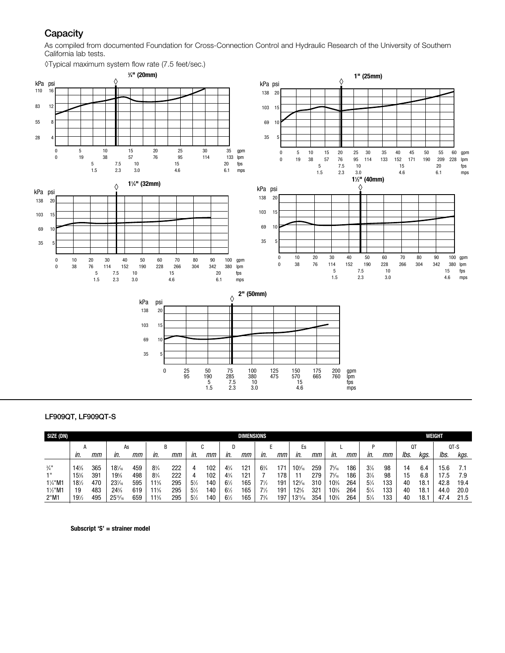# **Capacity**

As compiled from documented Foundation for Cross-Connection Control and Hydraulic Research of the University of Southern California lab tests.



#### LF909QT, LF909QT-S

| SIZE (DN)                  | <b>DIMENSIONS</b>      |            |                  |            |                                   |            |                     |            |                                  |            |                |            |                  | WEIGHT     |                        |            |                                  |           |          |            |             |             |
|----------------------------|------------------------|------------|------------------|------------|-----------------------------------|------------|---------------------|------------|----------------------------------|------------|----------------|------------|------------------|------------|------------------------|------------|----------------------------------|-----------|----------|------------|-------------|-------------|
|                            | А                      |            | As               |            | B                                 |            | u                   |            | D                                |            |                |            | Es               |            |                        |            |                                  |           | Q٦       |            | QT-S        |             |
|                            | in.                    | mт         | in.              | mт         | in.                               | mт         | In.                 | mт         | In.                              | mт         | in.            | mт         | in.              | mт         | in.                    | mт         | in.                              | mт        | lbs.     | kas.       | lbs.        | kgs.        |
| $\frac{3}{4}$ "            | 14%                    | 365        | $18\frac{1}{16}$ | 459        | $8\frac{3}{4}$                    | 222        | 4                   | 102        | $4\frac{3}{4}$                   | 121        | $6\frac{3}{4}$ | $17 -$     | $10^{3}/_{16}$   | 259        | $7\frac{5}{16}$        | 186        | $3\frac{7}{8}$                   | 98        | 14       | 6.4        | 15.6        |             |
| -111<br>$1\frac{1}{4}$ "M1 | 15%<br>$18\frac{1}{2}$ | 391<br>470 | 19%<br>23%       | 498<br>595 | $8\frac{3}{4}$<br>$11\frac{5}{8}$ | 222<br>295 | 4<br>$5\frac{1}{2}$ | 102<br>140 | $4\frac{3}{4}$<br>$6\frac{1}{2}$ | 121<br>165 | $7\frac{1}{2}$ | 178<br>191 | $12\frac{3}{16}$ | 279<br>310 | $7\frac{5}{16}$<br>10% | 186<br>264 | $3\frac{7}{8}$<br>$5\frac{1}{4}$ | 98<br>133 | 15<br>40 | 6.8<br>18. | 7.5<br>42.8 | 7.9<br>19.4 |
| 1½"M1                      | 19                     | 483        | 24%              | 619        | $1\frac{5}{8}$                    | 295        | $5\frac{1}{2}$      | 40         | $6\frac{1}{2}$                   | 165        | $7\frac{1}{2}$ | 191        | $12\%$           | 321        | 10%                    | 264        | $5\frac{1}{4}$                   | 133       | 40       | 18.        | 44.0        | 20.0        |
| 2"M1                       | $19\frac{1}{2}$        | 495        | $25^{15}/_{16}$  | 659        | $11\frac{5}{8}$                   | 295        | $5\frac{1}{2}$      | 140        | $6\frac{1}{2}$                   | 165        | $7\frac{3}{4}$ | 197        | $13^{15}/_{16}$  | 354        | $10\%$                 | 264        | $5\frac{1}{4}$                   | 133       | 40       | 18.        | 47.4        | 21.5        |

Subscript 'S' = strainer model